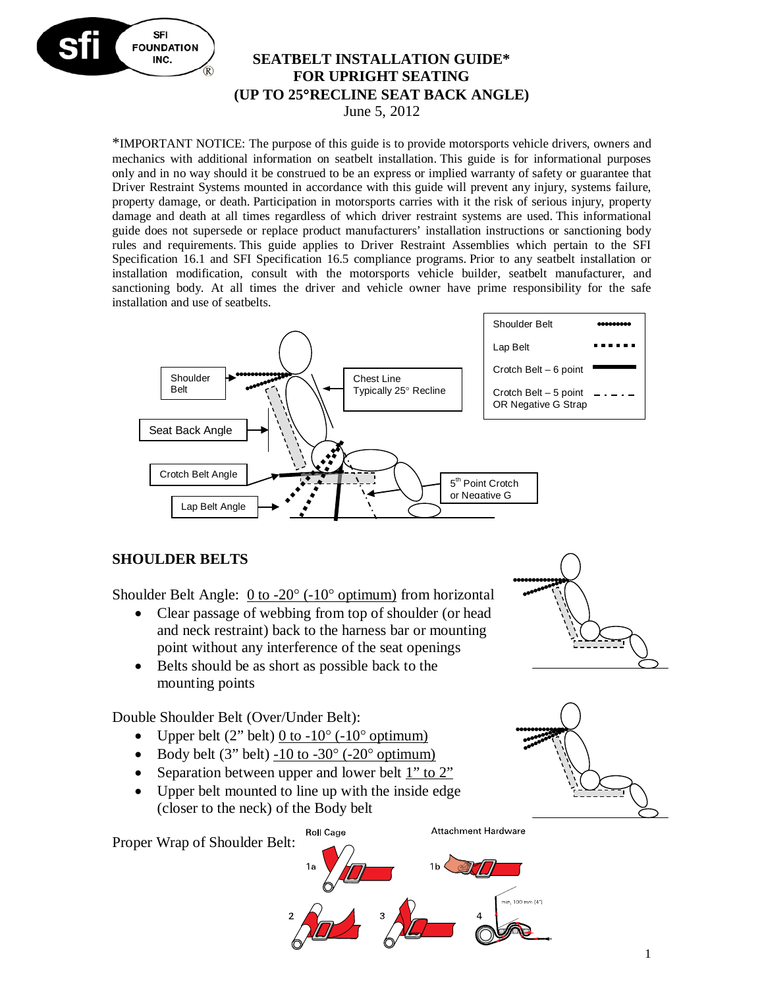

#### **SEATBELT INSTALLATION GUIDE\* FOR UPRIGHT SEATING (UP TO 25**°**RECLINE SEAT BACK ANGLE)** June 5, 2012

\*IMPORTANT NOTICE: The purpose of this guide is to provide motorsports vehicle drivers, owners and mechanics with additional information on seatbelt installation. This guide is for informational purposes only and in no way should it be construed to be an express or implied warranty of safety or guarantee that Driver Restraint Systems mounted in accordance with this guide will prevent any injury, systems failure, property damage, or death. Participation in motorsports carries with it the risk of serious injury, property damage and death at all times regardless of which driver restraint systems are used. This informational guide does not supersede or replace product manufacturers' installation instructions or sanctioning body rules and requirements. This guide applies to Driver Restraint Assemblies which pertain to the SFI Specification 16.1 and SFI Specification 16.5 compliance programs. Prior to any seatbelt installation or installation modification, consult with the motorsports vehicle builder, seatbelt manufacturer, and sanctioning body. At all times the driver and vehicle owner have prime responsibility for the safe installation and use of seatbelts.



### **SHOULDER BELTS**

Shoulder Belt Angle: 0 to -20° (-10° optimum) from horizontal

- Clear passage of webbing from top of shoulder (or head and neck restraint) back to the harness bar or mounting point without any interference of the seat openings
- Belts should be as short as possible back to the mounting points

Double Shoulder Belt (Over/Under Belt):

- Upper belt  $(2^{\prime\prime}$  belt) 0 to  $-10^{\circ}$  ( $-10^{\circ}$  optimum)
- Body belt  $(3"$  belt)  $-10$  to  $-30^{\circ}$   $(-20^{\circ}$  optimum)
- Separation between upper and lower belt 1" to 2"
- Upper belt mounted to line up with the inside edge (closer to the neck) of the Body belt

**Roll Cage** 

Proper Wrap of Shoulder Belt:

Attachment Hardware







1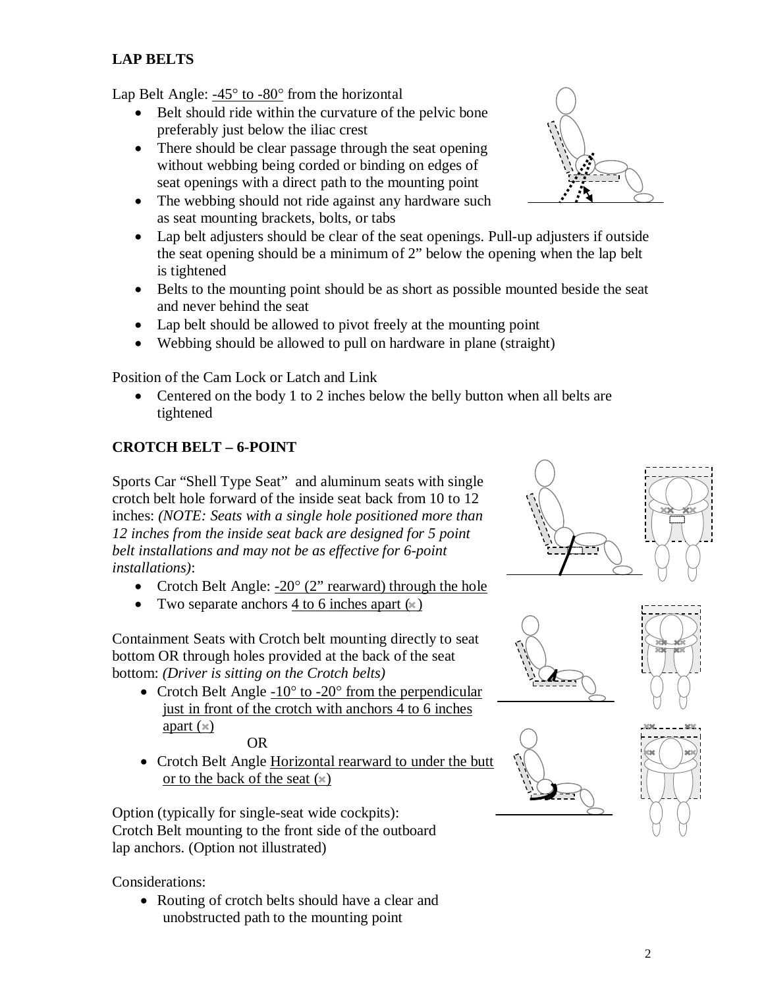## **LAP BELTS**

Lap Belt Angle:  $-45^\circ$  to  $-80^\circ$  from the horizontal

- Belt should ride within the curvature of the pelvic bone preferably just below the iliac crest
- There should be clear passage through the seat opening without webbing being corded or binding on edges of seat openings with a direct path to the mounting point
- The webbing should not ride against any hardware such as seat mounting brackets, bolts, or tabs
- Lap belt adjusters should be clear of the seat openings. Pull-up adjusters if outside the seat opening should be a minimum of 2" below the opening when the lap belt is tightened
- Belts to the mounting point should be as short as possible mounted beside the seat and never behind the seat
- Lap belt should be allowed to pivot freely at the mounting point
- Webbing should be allowed to pull on hardware in plane (straight)

Position of the Cam Lock or Latch and Link

• Centered on the body 1 to 2 inches below the belly button when all belts are tightened

#### **CROTCH BELT – 6-POINT**

Sports Car "Shell Type Seat" and aluminum seats with single crotch belt hole forward of the inside seat back from 10 to 12 inches: *(NOTE: Seats with a single hole positioned more than 12 inches from the inside seat back are designed for 5 point belt installations and may not be as effective for 6-point installations)*:

- Crotch Belt Angle:  $-20^{\circ}$  (2" rearward) through the hole
- Two separate anchors 4 to 6 inches apart  $(*)$

Containment Seats with Crotch belt mounting directly to seat bottom OR through holes provided at the back of the seat bottom: *(Driver is sitting on the Crotch belts)*

• Crotch Belt Angle  $-10^{\circ}$  to  $-20^{\circ}$  from the perpendicular just in front of the crotch with anchors 4 to 6 inches apart  $(\times)$ 

OR

• Crotch Belt Angle Horizontal rearward to under the butt or to the back of the seat  $(*)$ 

Option (typically for single-seat wide cockpits): Crotch Belt mounting to the front side of the outboard lap anchors. (Option not illustrated)

Considerations:

• Routing of crotch belts should have a clear and unobstructed path to the mounting point